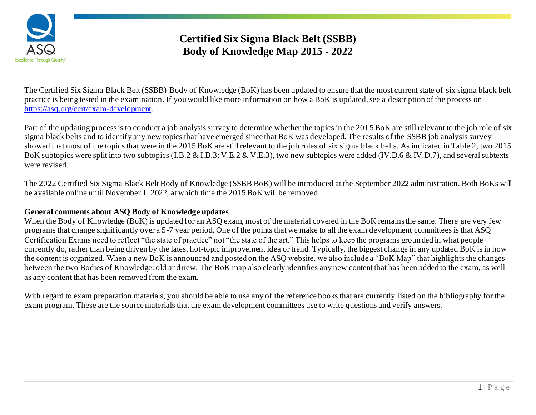

# **Certified Six Sigma Black Belt (SSBB) Body of Knowledge Map 2015 - 2022**

The Certified Six Sigma Black Belt (SSBB) Body of Knowledge (BoK) has been updated to ensure that the most current state of six sigma black belt practice is being tested in the examination. If you would like more information on how a BoK is updated, see a description of the process on <https://asq.org/cert/exam-development>.

Part of the updating process is to conduct a job analysis survey to determine whether the topics in the 2015BoK are still relevant to the job role of six sigma black belts and to identify any new topics that have emerged since that BoK was developed. The results of the SSBB job analysis survey showed that most of the topics that were in the 2015 BoK are still relevant to the job roles of six sigma black belts. As indicated in Table 2, two 2015 BoK subtopics were split into two subtopics (I.B.2 & I.B.3; V.E.2 & V.E.3), two new subtopics were added (IV.D.6 & IV.D.7), and several subtexts were revised.

The 2022 Certified Six Sigma Black Belt Body of Knowledge (SSBB BoK) will be introduced at the September 2022 administration. Both BoKs will be available online until November 1, 2022, at which time the 2015 BoK will be removed.

### **General comments about ASQ Body of Knowledge updates**

When the Body of Knowledge (BoK) is updated for an ASQ exam, most of the material covered in the BoK remains the same. There are very few programs that change significantly over a 5-7 year period. One of the points that we make to all the exam development committees is that ASQ Certification Exams need to reflect "the state of practice" not "the state of the art." This helps to keep the programs groun ded in what people currently do, rather than being driven by the latest hot-topic improvement idea or trend. Typically, the biggest change in any updated BoK is in how the content is organized. When a new BoK is announced and posted on the ASQ website, we also include a "BoK Map" that highlights the changes between the two Bodies of Knowledge: old and new. The BoK map also clearly identifies any new content that has been added to the exam, as well as any content that has been removed from the exam.

With regard to exam preparation materials, you should be able to use any of the reference books that are currently listed on the bibliography for the exam program. These are the source materials that the exam development committees use to write questions and verify answers.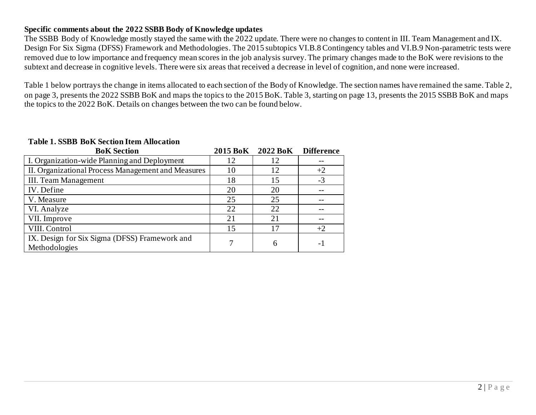### **Specific comments about the 2022 SSBB Body of Knowledge updates**

The SSBB Body of Knowledge mostly stayed the same with the 2022 update. There were no changes to content in III. Team Management and IX. Design For Six Sigma (DFSS) Framework and Methodologies. The 2015 subtopics VI.B.8 Contingency tables and VI.B.9 Non-parametric tests were removed due to low importance and frequency mean scores in the job analysis survey. The primary changes made to the BoK were revisions to the subtext and decrease in cognitive levels. There were six areas that received a decrease in level of cognition, and none were increased.

Table 1 below portrays the change in items allocated to each section of the Body of Knowledge. The section names have remained the same. Table 2, on page 3, presents the 2022 SSBB BoK and maps the topics to the 2015 BoK. Table 3, starting on page 13, presents the 2015 SSBB BoK and maps the topics to the 2022 BoK. Details on changes between the two can be found below.

#### **Table 1. SSBB BoK Section Item Allocation**

| <b>BoK</b> Section                                             | 2015 BoK | 2022 BoK | <b>Difference</b> |
|----------------------------------------------------------------|----------|----------|-------------------|
| I. Organization-wide Planning and Deployment                   | 12       | 12       |                   |
| II. Organizational Process Management and Measures             | 10       | 12       | $+2$              |
| <b>III.</b> Team Management                                    | 18       | 15       | $-3$              |
| IV. Define                                                     | 20       | 20       |                   |
| V. Measure                                                     | 25       | 25       |                   |
| VI. Analyze                                                    | 22       | 22       |                   |
| VII. Improve                                                   | 21       | 21       |                   |
| VIII. Control                                                  | 15       |          | $+2$              |
| IX. Design for Six Sigma (DFSS) Framework and<br>Methodologies | 7        | 6        | - 1               |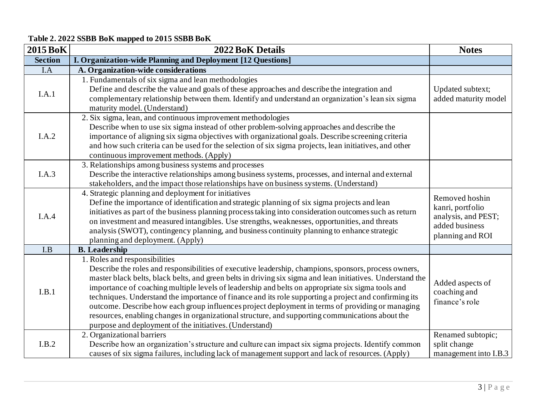## **Table 2. 2022 SSBB BoK mapped to 2015 SSBB BoK**

| <b>2015 BoK</b> | 2022 BoK Details                                                                                                                                                                                                                                                                                                                                                                                                                                                                                                                                                                                                                                                                                                                      | <b>Notes</b>                                                                                    |
|-----------------|---------------------------------------------------------------------------------------------------------------------------------------------------------------------------------------------------------------------------------------------------------------------------------------------------------------------------------------------------------------------------------------------------------------------------------------------------------------------------------------------------------------------------------------------------------------------------------------------------------------------------------------------------------------------------------------------------------------------------------------|-------------------------------------------------------------------------------------------------|
| <b>Section</b>  | I. Organization-wide Planning and Deployment [12 Questions]                                                                                                                                                                                                                                                                                                                                                                                                                                                                                                                                                                                                                                                                           |                                                                                                 |
| I.A             | A. Organization-wide considerations                                                                                                                                                                                                                                                                                                                                                                                                                                                                                                                                                                                                                                                                                                   |                                                                                                 |
| I.A.1           | 1. Fundamentals of six sigma and lean methodologies<br>Define and describe the value and goals of these approaches and describe the integration and<br>complementary relationship between them. Identify and understand an organization's lean six sigma<br>maturity model. (Understand)                                                                                                                                                                                                                                                                                                                                                                                                                                              | Updated subtext;<br>added maturity model                                                        |
| I.A.2           | 2. Six sigma, lean, and continuous improvement methodologies<br>Describe when to use six sigma instead of other problem-solving approaches and describe the<br>importance of aligning six sigma objectives with organizational goals. Describe screening criteria<br>and how such criteria can be used for the selection of six sigma projects, lean initiatives, and other<br>continuous improvement methods. (Apply)                                                                                                                                                                                                                                                                                                                |                                                                                                 |
| I.A.3           | 3. Relationships among business systems and processes<br>Describe the interactive relationships among business systems, processes, and internal and external<br>stakeholders, and the impact those relationships have on business systems. (Understand)                                                                                                                                                                                                                                                                                                                                                                                                                                                                               |                                                                                                 |
| I.A.4           | 4. Strategic planning and deployment for initiatives<br>Define the importance of identification and strategic planning of six sigma projects and lean<br>initiatives as part of the business planning process taking into consideration outcomes such as return<br>on investment and measured intangibles. Use strengths, weaknesses, opportunities, and threats<br>analysis (SWOT), contingency planning, and business continuity planning to enhance strategic<br>planning and deployment. (Apply)                                                                                                                                                                                                                                  | Removed hoshin<br>kanri, portfolio<br>analysis, and PEST;<br>added business<br>planning and ROI |
| I.B             | <b>B.</b> Leadership                                                                                                                                                                                                                                                                                                                                                                                                                                                                                                                                                                                                                                                                                                                  |                                                                                                 |
| I.B.1           | 1. Roles and responsibilities<br>Describe the roles and responsibilities of executive leadership, champions, sponsors, process owners,<br>master black belts, black belts, and green belts in driving six sigma and lean initiatives. Understand the<br>importance of coaching multiple levels of leadership and belts on appropriate six sigma tools and<br>techniques. Understand the importance of finance and its role supporting a project and confirming its<br>outcome. Describe how each group influences project deployment in terms of providing or managing<br>resources, enabling changes in organizational structure, and supporting communications about the<br>purpose and deployment of the initiatives. (Understand) | Added aspects of<br>coaching and<br>finance's role                                              |
| I.B.2           | 2. Organizational barriers<br>Describe how an organization's structure and culture can impact six sigma projects. Identify common<br>causes of six sigma failures, including lack of management support and lack of resources. (Apply)                                                                                                                                                                                                                                                                                                                                                                                                                                                                                                | Renamed subtopic;<br>split change<br>management into I.B.3                                      |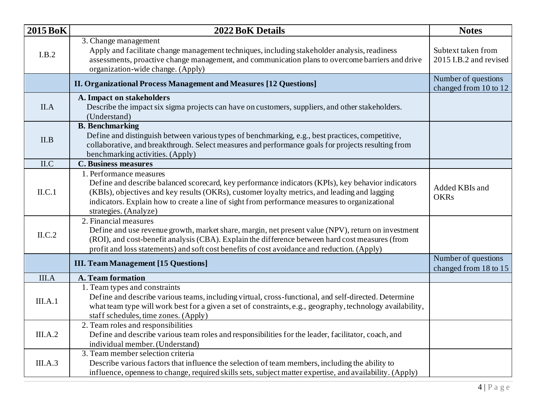| <b>2015 BoK</b> | 2022 BoK Details                                                                                                                                                                                                                                                                                                                                        | <b>Notes</b>                                 |
|-----------------|---------------------------------------------------------------------------------------------------------------------------------------------------------------------------------------------------------------------------------------------------------------------------------------------------------------------------------------------------------|----------------------------------------------|
| I.B.2           | 3. Change management<br>Apply and facilitate change management techniques, including stakeholder analysis, readiness<br>assessments, proactive change management, and communication plans to overcome barriers and drive<br>organization-wide change. (Apply)                                                                                           | Subtext taken from<br>2015 I.B.2 and revised |
|                 | <b>II. Organizational Process Management and Measures [12 Questions]</b>                                                                                                                                                                                                                                                                                | Number of questions<br>changed from 10 to 12 |
| II.A            | A. Impact on stakeholders<br>Describe the impact six sigma projects can have on customers, suppliers, and other stakeholders.<br>(Understand)                                                                                                                                                                                                           |                                              |
| II.B            | <b>B.</b> Benchmarking<br>Define and distinguish between various types of benchmarking, e.g., best practices, competitive,<br>collaborative, and breakthrough. Select measures and performance goals for projects resulting from<br>benchmarking activities. (Apply)                                                                                    |                                              |
| II.C            | <b>C. Business measures</b>                                                                                                                                                                                                                                                                                                                             |                                              |
| ILC.1           | 1. Performance measures<br>Define and describe balanced scorecard, key performance indicators (KPIs), key behavior indicators<br>(KBIs), objectives and key results (OKRs), customer loyalty metrics, and leading and lagging<br>indicators. Explain how to create a line of sight from performance measures to organizational<br>strategies. (Analyze) | Added KBIs and<br><b>OKRs</b>                |
| ILC.2           | 2. Financial measures<br>Define and use revenue growth, market share, margin, net present value (NPV), return on investment<br>(ROI), and cost-benefit analysis (CBA). Explain the difference between hard cost measures (from<br>profit and loss statements) and soft cost benefits of cost avoidance and reduction. (Apply)                           |                                              |
|                 | <b>III. Team Management [15 Questions]</b>                                                                                                                                                                                                                                                                                                              | Number of questions<br>changed from 18 to 15 |
| III.A           | A. Team formation                                                                                                                                                                                                                                                                                                                                       |                                              |
| III.A.1         | 1. Team types and constraints<br>Define and describe various teams, including virtual, cross-functional, and self-directed. Determine<br>what team type will work best for a given a set of constraints, e.g., geography, technology availability,<br>staff schedules, time zones. (Apply)                                                              |                                              |
| III.A.2         | 2. Team roles and responsibilities<br>Define and describe various team roles and responsibilities for the leader, facilitator, coach, and<br>individual member. (Understand)                                                                                                                                                                            |                                              |
| III.A.3         | 3. Team member selection criteria<br>Describe various factors that influence the selection of team members, including the ability to<br>influence, openness to change, required skills sets, subject matter expertise, and availability. (Apply)                                                                                                        |                                              |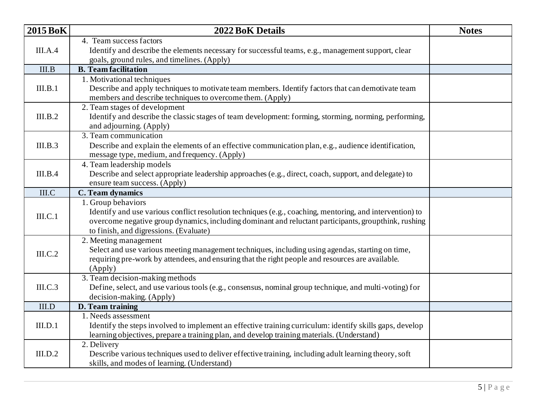| <b>2015 BoK</b> | 2022 BoK Details                                                                                         | <b>Notes</b> |
|-----------------|----------------------------------------------------------------------------------------------------------|--------------|
|                 | 4. Team success factors                                                                                  |              |
| III.A.4         | Identify and describe the elements necessary for successful teams, e.g., management support, clear       |              |
|                 | goals, ground rules, and timelines. (Apply)                                                              |              |
| III.B           | <b>B.</b> Team facilitation                                                                              |              |
|                 | 1. Motivational techniques                                                                               |              |
| III.B.1         | Describe and apply techniques to motivate team members. Identify factors that can demotivate team        |              |
|                 | members and describe techniques to overcome them. (Apply)                                                |              |
|                 | 2. Team stages of development                                                                            |              |
| III.B.2         | Identify and describe the classic stages of team development: forming, storming, norming, performing,    |              |
|                 | and adjourning. (Apply)                                                                                  |              |
|                 | 3. Team communication                                                                                    |              |
| III.B.3         | Describe and explain the elements of an effective communication plan, e.g., audience identification,     |              |
|                 | message type, medium, and frequency. (Apply)                                                             |              |
|                 | 4. Team leadership models                                                                                |              |
| III.B.4         | Describe and select appropriate leadership approaches (e.g., direct, coach, support, and delegate) to    |              |
| III.C           | ensure team success. (Apply)<br>C. Team dynamics                                                         |              |
|                 | 1. Group behaviors                                                                                       |              |
|                 | Identify and use various conflict resolution techniques (e.g., coaching, mentoring, and intervention) to |              |
| III.C.1         | overcome negative group dynamics, including dominant and reluctant participants, groupthink, rushing     |              |
|                 | to finish, and digressions. (Evaluate)                                                                   |              |
|                 | 2. Meeting management                                                                                    |              |
|                 | Select and use various meeting management techniques, including using agendas, starting on time,         |              |
| III.C.2         | requiring pre-work by attendees, and ensuring that the right people and resources are available.         |              |
|                 | (Apply)                                                                                                  |              |
|                 | 3. Team decision-making methods                                                                          |              |
| III.C.3         | Define, select, and use various tools (e.g., consensus, nominal group technique, and multi-voting) for   |              |
|                 | decision-making. (Apply)                                                                                 |              |
| III.D           | D. Team training                                                                                         |              |
|                 | 1. Needs assessment                                                                                      |              |
| III.D.1         | Identify the steps involved to implement an effective training curriculum: identify skills gaps, develop |              |
|                 | learning objectives, prepare a training plan, and develop training materials. (Understand)               |              |
|                 | 2. Delivery                                                                                              |              |
| III.D.2         | Describe various techniques used to deliver effective training, including adult learning theory, soft    |              |
|                 | skills, and modes of learning. (Understand)                                                              |              |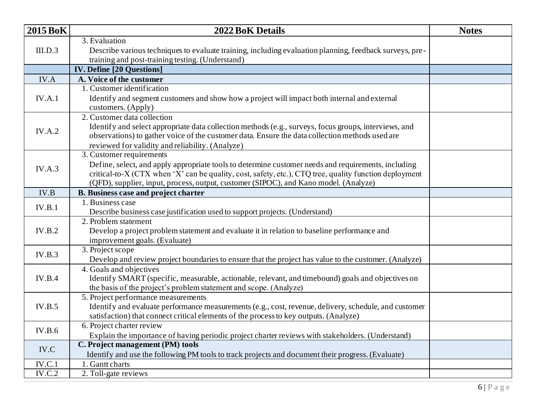| <b>2015 BoK</b> | 2022 BoK Details                                                                                        | <b>Notes</b> |
|-----------------|---------------------------------------------------------------------------------------------------------|--------------|
|                 | 3. Evaluation                                                                                           |              |
| III.D.3         | Describe various techniques to evaluate training, including evaluation planning, feedback surveys, pre- |              |
|                 | training and post-training testing. (Understand)                                                        |              |
|                 | <b>IV. Define [20 Questions]</b>                                                                        |              |
| IV.A            | A. Voice of the customer                                                                                |              |
|                 | 1. Customer identification                                                                              |              |
| IV.A.1          | Identify and segment customers and show how a project will impact both internal and external            |              |
|                 | customers. (Apply)                                                                                      |              |
|                 | 2. Customer data collection                                                                             |              |
| IV.A.2          | Identify and select appropriate data collection methods (e.g., surveys, focus groups, interviews, and   |              |
|                 | observations) to gather voice of the customer data. Ensure the data collection methods used are         |              |
|                 | reviewed for validity and reliability. (Analyze)                                                        |              |
|                 | 3. Customer requirements                                                                                |              |
| IV.A.3          | Define, select, and apply appropriate tools to determine customer needs and requirements, including     |              |
|                 | critical-to-X (CTX when 'X' can be quality, cost, safety, etc.), CTQ tree, quality function deployment  |              |
|                 | (QFD), supplier, input, process, output, customer (SIPOC), and Kano model. (Analyze)                    |              |
| IV.B            | <b>B. Business case and project charter</b>                                                             |              |
| IV.B.1          | 1. Business case                                                                                        |              |
|                 | Describe business case justification used to support projects. (Understand)                             |              |
|                 | 2. Problem statement                                                                                    |              |
| IV.B.2          | Develop a project problem statement and evaluate it in relation to baseline performance and             |              |
|                 | improvement goals. (Evaluate)                                                                           |              |
| IV.B.3          | 3. Project scope                                                                                        |              |
|                 | Develop and review project boundaries to ensure that the project has value to the customer. (Analyze)   |              |
|                 | 4. Goals and objectives                                                                                 |              |
| IV.B.4          | Identify SMART (specific, measurable, actionable, relevant, and timebound) goals and objectives on      |              |
|                 | the basis of the project's problem statement and scope. (Analyze)                                       |              |
|                 | 5. Project performance measurements                                                                     |              |
| IV.B.5          | Identify and evaluate performance measurements (e.g., cost, revenue, delivery, schedule, and customer   |              |
|                 | satisfaction) that connect critical elements of the process to key outputs. (Analyze)                   |              |
| IV.B.6          | 6. Project charter review                                                                               |              |
|                 | Explain the importance of having periodic project charter reviews with stakeholders. (Understand)       |              |
| IV.C            | C. Project management (PM) tools                                                                        |              |
|                 | Identify and use the following PM tools to track projects and document their progress. (Evaluate)       |              |
| IV.C.1          | 1. Gantt charts                                                                                         |              |
| IV.C.2          | 2. Toll-gate reviews                                                                                    |              |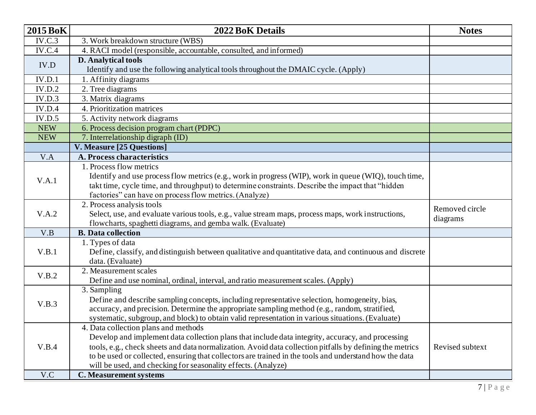| <b>2015 BoK</b> | <b>2022 BoK Details</b>                                                                                  | <b>Notes</b>    |
|-----------------|----------------------------------------------------------------------------------------------------------|-----------------|
| IV.C.3          | 3. Work breakdown structure (WBS)                                                                        |                 |
| <b>IV.C.4</b>   | 4. RACI model (responsible, accountable, consulted, and informed)                                        |                 |
| IV.D            | <b>D.</b> Analytical tools                                                                               |                 |
|                 | Identify and use the following analytical tools throughout the DMAIC cycle. (Apply)                      |                 |
| IV.D.1          | 1. Affinity diagrams                                                                                     |                 |
| IV.D.2          | 2. Tree diagrams                                                                                         |                 |
| IV.D.3          | 3. Matrix diagrams                                                                                       |                 |
| IV.D.4          | 4. Prioritization matrices                                                                               |                 |
| IV.D.5          | 5. Activity network diagrams                                                                             |                 |
| <b>NEW</b>      | 6. Process decision program chart (PDPC)                                                                 |                 |
| <b>NEW</b>      | 7. Interrelationship digraph (ID)                                                                        |                 |
|                 | V. Measure [25 Questions]                                                                                |                 |
| V.A             | A. Process characteristics                                                                               |                 |
|                 | 1. Process flow metrics                                                                                  |                 |
| V.A.1           | Identify and use process flow metrics (e.g., work in progress (WIP), work in queue (WIQ), touch time,    |                 |
|                 | takt time, cycle time, and throughput) to determine constraints. Describe the impact that "hidden        |                 |
|                 | factories" can have on process flow metrics. (Analyze)                                                   |                 |
|                 | 2. Process analysis tools                                                                                | Removed circle  |
|                 |                                                                                                          |                 |
| V.A.2           | Select, use, and evaluate various tools, e.g., value stream maps, process maps, work instructions,       |                 |
|                 | flowcharts, spaghetti diagrams, and gemba walk. (Evaluate)                                               | diagrams        |
| V.B             | <b>B.</b> Data collection                                                                                |                 |
|                 | 1. Types of data                                                                                         |                 |
| V.B.1           | Define, classify, and distinguish between qualitative and quantitative data, and continuous and discrete |                 |
|                 | data. (Evaluate)                                                                                         |                 |
| V.B.2           | 2. Measurement scales                                                                                    |                 |
|                 | Define and use nominal, ordinal, interval, and ratio measurement scales. (Apply)                         |                 |
|                 | 3. Sampling                                                                                              |                 |
| V.B.3           | Define and describe sampling concepts, including representative selection, homogeneity, bias,            |                 |
|                 | accuracy, and precision. Determine the appropriate sampling method (e.g., random, stratified,            |                 |
|                 | systematic, subgroup, and block) to obtain valid representation in various situations. (Evaluate)        |                 |
|                 | 4. Data collection plans and methods                                                                     |                 |
|                 | Develop and implement data collection plans that include data integrity, accuracy, and processing        |                 |
| V.B.4           | tools, e.g., check sheets and data normalization. Avoid data collection pitfalls by defining the metrics | Revised subtext |
|                 | to be used or collected, ensuring that collectors are trained in the tools and understand how the data   |                 |
| V.C             | will be used, and checking for seasonality effects. (Analyze)<br><b>C. Measurement systems</b>           |                 |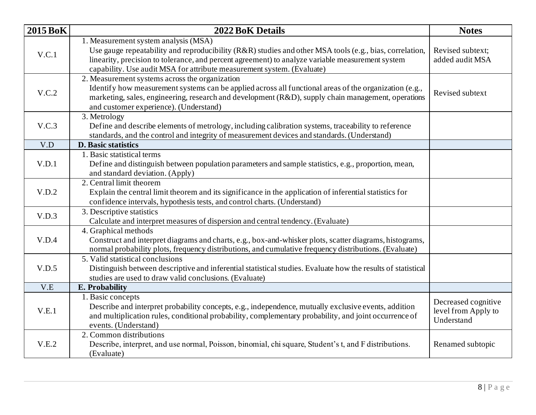| 2015 BoK | 2022 BoK Details                                                                                                                                                                                                                                                                                                              | <b>Notes</b>                                             |
|----------|-------------------------------------------------------------------------------------------------------------------------------------------------------------------------------------------------------------------------------------------------------------------------------------------------------------------------------|----------------------------------------------------------|
| V.C.1    | 1. Measurement system analysis (MSA)<br>Use gauge repeatability and reproducibility (R&R) studies and other MSA tools (e.g., bias, correlation,<br>linearity, precision to tolerance, and percent agreement) to analyze variable measurement system<br>capability. Use audit MSA for attribute measurement system. (Evaluate) | Revised subtext;<br>added audit MSA                      |
| V.C.2    | 2. Measurement systems across the organization<br>Identify how measurement systems can be applied across all functional areas of the organization (e.g.,<br>marketing, sales, engineering, research and development (R&D), supply chain management, operations<br>and customer experience). (Understand)                      | Revised subtext                                          |
| V.C.3    | 3. Metrology<br>Define and describe elements of metrology, including calibration systems, traceability to reference<br>standards, and the control and integrity of measurement devices and standards. (Understand)                                                                                                            |                                                          |
| V.D      | <b>D.</b> Basic statistics                                                                                                                                                                                                                                                                                                    |                                                          |
| V.D.1    | 1. Basic statistical terms<br>Define and distinguish between population parameters and sample statistics, e.g., proportion, mean,<br>and standard deviation. (Apply)                                                                                                                                                          |                                                          |
| V.D.2    | 2. Central limit theorem<br>Explain the central limit theorem and its significance in the application of inferential statistics for<br>confidence intervals, hypothesis tests, and control charts. (Understand)                                                                                                               |                                                          |
| V.D.3    | 3. Descriptive statistics<br>Calculate and interpret measures of dispersion and central tendency. (Evaluate)                                                                                                                                                                                                                  |                                                          |
| V.D.4    | 4. Graphical methods<br>Construct and interpret diagrams and charts, e.g., box-and-whisker plots, scatter diagrams, histograms,<br>normal probability plots, frequency distributions, and cumulative frequency distributions. (Evaluate)                                                                                      |                                                          |
| V.D.5    | 5. Valid statistical conclusions<br>Distinguish between descriptive and inferential statistical studies. Evaluate how the results of statistical<br>studies are used to draw valid conclusions. (Evaluate)                                                                                                                    |                                                          |
| V.E      | E. Probability                                                                                                                                                                                                                                                                                                                |                                                          |
| V.E.1    | 1. Basic concepts<br>Describe and interpret probability concepts, e.g., independence, mutually exclusive events, addition<br>and multiplication rules, conditional probability, complementary probability, and joint occurrence of<br>events. (Understand)                                                                    | Decreased cognitive<br>level from Apply to<br>Understand |
| V.E.2    | 2. Common distributions<br>Describe, interpret, and use normal, Poisson, binomial, chi square, Student's t, and F distributions.<br>(Evaluate)                                                                                                                                                                                | Renamed subtopic                                         |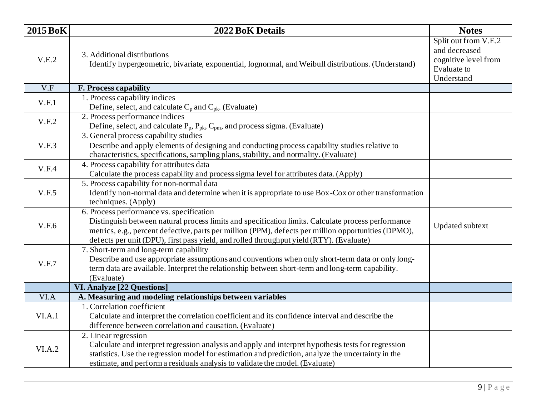| <b>2015 BoK</b> | <b>2022 BoK Details</b>                                                                                                                                                                                                                                                                                                                           | <b>Notes</b>                                                                               |
|-----------------|---------------------------------------------------------------------------------------------------------------------------------------------------------------------------------------------------------------------------------------------------------------------------------------------------------------------------------------------------|--------------------------------------------------------------------------------------------|
| V.E.2           | 3. Additional distributions<br>Identify hypergeometric, bivariate, exponential, lognormal, and Weibull distributions. (Understand)                                                                                                                                                                                                                | Split out from V.E.2<br>and decreased<br>cognitive level from<br>Evaluate to<br>Understand |
| V.F             | <b>F. Process capability</b>                                                                                                                                                                                                                                                                                                                      |                                                                                            |
| V.F.1           | 1. Process capability indices<br>Define, select, and calculate $C_p$ and $C_{pk}$ . (Evaluate)                                                                                                                                                                                                                                                    |                                                                                            |
| V.F.2           | 2. Process performance indices<br>Define, select, and calculate $P_p$ , $P_{pk}$ , $C_{pm}$ , and process sigma. (Evaluate)                                                                                                                                                                                                                       |                                                                                            |
| V.F.3           | 3. General process capability studies<br>Describe and apply elements of designing and conducting process capability studies relative to<br>characteristics, specifications, sampling plans, stability, and normality. (Evaluate)                                                                                                                  |                                                                                            |
| V.F.4           | 4. Process capability for attributes data<br>Calculate the process capability and process sigma level for attributes data. (Apply)                                                                                                                                                                                                                |                                                                                            |
| V.F.5           | 5. Process capability for non-normal data<br>Identify non-normal data and determine when it is appropriate to use Box-Cox or other transformation<br>techniques. (Apply)                                                                                                                                                                          |                                                                                            |
| V.F.6           | 6. Process performance vs. specification<br>Distinguish between natural process limits and specification limits. Calculate process performance<br>metrics, e.g., percent defective, parts per million (PPM), defects per million opportunities (DPMO),<br>defects per unit (DPU), first pass yield, and rolled throughput yield (RTY). (Evaluate) | <b>Updated subtext</b>                                                                     |
| V.F.7           | 7. Short-term and long-term capability<br>Describe and use appropriate assumptions and conventions when only short-term data or only long-<br>term data are available. Interpret the relationship between short-term and long-term capability.<br>(Evaluate)                                                                                      |                                                                                            |
|                 | <b>VI. Analyze [22 Questions]</b>                                                                                                                                                                                                                                                                                                                 |                                                                                            |
| VI.A            | A. Measuring and modeling relationships between variables<br>1. Correlation coefficient                                                                                                                                                                                                                                                           |                                                                                            |
| VI.A.1          | Calculate and interpret the correlation coefficient and its confidence interval and describe the<br>difference between correlation and causation. (Evaluate)                                                                                                                                                                                      |                                                                                            |
| VI.A.2          | 2. Linear regression<br>Calculate and interpret regression analysis and apply and interpret hypothesis tests for regression<br>statistics. Use the regression model for estimation and prediction, analyze the uncertainty in the<br>estimate, and perform a residuals analysis to validate the model. (Evaluate)                                 |                                                                                            |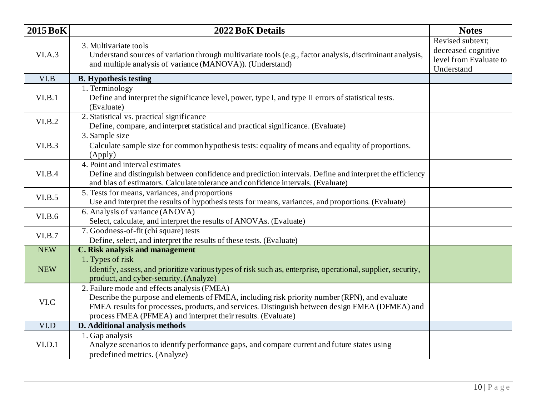| <b>2015 BoK</b> | 2022 BoK Details                                                                                                                                                                                                                                                                                                | <b>Notes</b>                                                                    |
|-----------------|-----------------------------------------------------------------------------------------------------------------------------------------------------------------------------------------------------------------------------------------------------------------------------------------------------------------|---------------------------------------------------------------------------------|
| VI.A.3          | 3. Multivariate tools<br>Understand sources of variation through multivariate tools (e.g., factor analysis, discriminant analysis,<br>and multiple analysis of variance (MANOVA)). (Understand)                                                                                                                 | Revised subtext;<br>decreased cognitive<br>level from Evaluate to<br>Understand |
| VI.B            | <b>B.</b> Hypothesis testing                                                                                                                                                                                                                                                                                    |                                                                                 |
| VI.B.1          | 1. Terminology<br>Define and interpret the significance level, power, type I, and type II errors of statistical tests.<br>(Evaluate)                                                                                                                                                                            |                                                                                 |
| VI.B.2          | 2. Statistical vs. practical significance<br>Define, compare, and interpret statistical and practical significance. (Evaluate)                                                                                                                                                                                  |                                                                                 |
| VI.B.3          | 3. Sample size<br>Calculate sample size for common hypothesis tests: equality of means and equality of proportions.<br>(Apply)                                                                                                                                                                                  |                                                                                 |
| VI.B.4          | 4. Point and interval estimates<br>Define and distinguish between confidence and prediction intervals. Define and interpret the efficiency<br>and bias of estimators. Calculate tolerance and confidence intervals. (Evaluate)                                                                                  |                                                                                 |
| VI.B.5          | 5. Tests for means, variances, and proportions<br>Use and interpret the results of hypothesis tests for means, variances, and proportions. (Evaluate)                                                                                                                                                           |                                                                                 |
| VI.B.6          | 6. Analysis of variance (ANOVA)<br>Select, calculate, and interpret the results of ANOVAs. (Evaluate)                                                                                                                                                                                                           |                                                                                 |
| VI.B.7          | 7. Goodness-of-fit (chi square) tests<br>Define, select, and interpret the results of these tests. (Evaluate)                                                                                                                                                                                                   |                                                                                 |
| <b>NEW</b>      | <b>C. Risk analysis and management</b>                                                                                                                                                                                                                                                                          |                                                                                 |
| <b>NEW</b>      | 1. Types of risk<br>Identify, assess, and prioritize various types of risk such as, enterprise, operational, supplier, security,<br>product, and cyber-security. (Analyze)                                                                                                                                      |                                                                                 |
| VI.C            | 2. Failure mode and effects analysis (FMEA)<br>Describe the purpose and elements of FMEA, including risk priority number (RPN), and evaluate<br>FMEA results for processes, products, and services. Distinguish between design FMEA (DFMEA) and<br>process FMEA (PFMEA) and interpret their results. (Evaluate) |                                                                                 |
| VI.D            | D. Additional analysis methods                                                                                                                                                                                                                                                                                  |                                                                                 |
| VI.D.1          | 1. Gap analysis<br>Analyze scenarios to identify performance gaps, and compare current and future states using<br>predefined metrics. (Analyze)                                                                                                                                                                 |                                                                                 |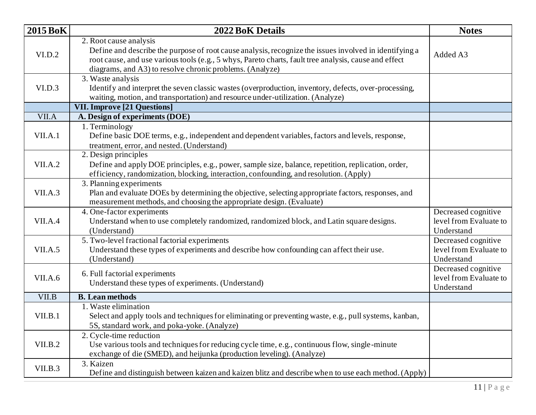| <b>2015 BoK</b> | 2022 BoK Details                                                                                                                                                                                                                                                                                      | <b>Notes</b>                                                |
|-----------------|-------------------------------------------------------------------------------------------------------------------------------------------------------------------------------------------------------------------------------------------------------------------------------------------------------|-------------------------------------------------------------|
| VI.D.2          | 2. Root cause analysis<br>Define and describe the purpose of root cause analysis, recognize the issues involved in identifying a<br>root cause, and use various tools (e.g., 5 whys, Pareto charts, fault tree analysis, cause and effect<br>diagrams, and A3) to resolve chronic problems. (Analyze) | Added A3                                                    |
| VI.D.3          | 3. Waste analysis<br>Identify and interpret the seven classic wastes (overproduction, inventory, defects, over-processing,<br>waiting, motion, and transportation) and resource under-utilization. (Analyze)                                                                                          |                                                             |
|                 | <b>VII. Improve [21 Questions]</b>                                                                                                                                                                                                                                                                    |                                                             |
| VII.A           | A. Design of experiments (DOE)                                                                                                                                                                                                                                                                        |                                                             |
| VII.A.1         | 1. Terminology<br>Define basic DOE terms, e.g., independent and dependent variables, factors and levels, response,<br>treatment, error, and nested. (Understand)                                                                                                                                      |                                                             |
| VII.A.2         | 2. Design principles<br>Define and apply DOE principles, e.g., power, sample size, balance, repetition, replication, order,<br>efficiency, randomization, blocking, interaction, confounding, and resolution. (Apply)                                                                                 |                                                             |
| VII.A.3         | 3. Planning experiments<br>Plan and evaluate DOEs by determining the objective, selecting appropriate factors, responses, and<br>measurement methods, and choosing the appropriate design. (Evaluate)                                                                                                 |                                                             |
| VII.A.4         | 4. One-factor experiments<br>Understand when to use completely randomized, randomized block, and Latin square designs.<br>(Understand)                                                                                                                                                                | Decreased cognitive<br>level from Evaluate to<br>Understand |
| VII.A.5         | 5. Two-level fractional factorial experiments<br>Understand these types of experiments and describe how confounding can affect their use.<br>(Understand)                                                                                                                                             | Decreased cognitive<br>level from Evaluate to<br>Understand |
| VII.A.6         | 6. Full factorial experiments<br>Understand these types of experiments. (Understand)                                                                                                                                                                                                                  | Decreased cognitive<br>level from Evaluate to<br>Understand |
| VII.B           | <b>B.</b> Lean methods                                                                                                                                                                                                                                                                                |                                                             |
| VII.B.1         | 1. Waste elimination<br>Select and apply tools and techniques for eliminating or preventing waste, e.g., pull systems, kanban,<br>5S, standard work, and poka-yoke. (Analyze)                                                                                                                         |                                                             |
| VII.B.2         | 2. Cycle-time reduction<br>Use various tools and techniques for reducing cycle time, e.g., continuous flow, single-minute<br>exchange of die (SMED), and heijunka (production leveling). (Analyze)                                                                                                    |                                                             |
| VII.B.3         | 3. Kaizen<br>Define and distinguish between kaizen and kaizen blitz and describe when to use each method. (Apply)                                                                                                                                                                                     |                                                             |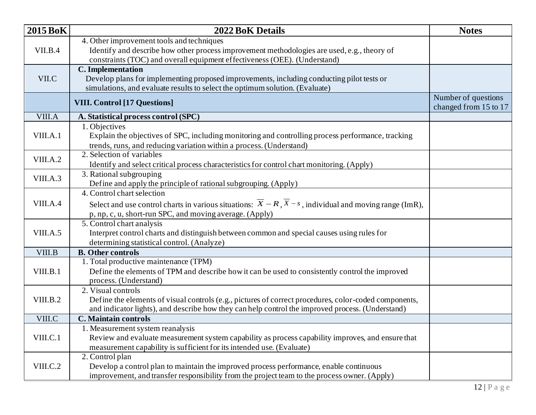| <b>2015 BoK</b> | <b>2022 BoK Details</b>                                                                                                           | <b>Notes</b>                                 |
|-----------------|-----------------------------------------------------------------------------------------------------------------------------------|----------------------------------------------|
|                 | 4. Other improvement tools and techniques                                                                                         |                                              |
| VII.B.4         | Identify and describe how other process improvement methodologies are used, e.g., theory of                                       |                                              |
|                 | constraints (TOC) and overall equipment effectiveness (OEE). (Understand)                                                         |                                              |
|                 | <b>C.</b> Implementation                                                                                                          |                                              |
| VII.C           | Develop plans for implementing proposed improvements, including conducting pilot tests or                                         |                                              |
|                 | simulations, and evaluate results to select the optimum solution. (Evaluate)                                                      |                                              |
|                 | <b>VIII. Control [17 Questions]</b>                                                                                               | Number of questions<br>changed from 15 to 17 |
| VIII.A          | A. Statistical process control (SPC)                                                                                              |                                              |
|                 | 1. Objectives                                                                                                                     |                                              |
| VIII.A.1        | Explain the objectives of SPC, including monitoring and controlling process performance, tracking                                 |                                              |
|                 | trends, runs, and reducing variation within a process. (Understand)                                                               |                                              |
|                 | 2. Selection of variables                                                                                                         |                                              |
| VIII.A.2        | Identify and select critical process characteristics for control chart monitoring. (Apply)                                        |                                              |
| VIII.A.3        | 3. Rational subgrouping                                                                                                           |                                              |
|                 | Define and apply the principle of rational subgrouping. (Apply)                                                                   |                                              |
|                 | 4. Control chart selection                                                                                                        |                                              |
| VIII.A.4        | Select and use control charts in various situations: $\overline{X} - R$ , $\overline{X} - s$ , individual and moving range (ImR), |                                              |
|                 | p, np, c, u, short-run SPC, and moving average. (Apply)                                                                           |                                              |
|                 | 5. Control chart analysis                                                                                                         |                                              |
| VIII.A.5        | Interpret control charts and distinguish between common and special causes using rules for                                        |                                              |
|                 | determining statistical control. (Analyze)                                                                                        |                                              |
| VIII.B          | <b>B.</b> Other controls                                                                                                          |                                              |
|                 | 1. Total productive maintenance (TPM)                                                                                             |                                              |
| VIII.B.1        | Define the elements of TPM and describe how it can be used to consistently control the improved                                   |                                              |
|                 | process. (Understand)<br>2. Visual controls                                                                                       |                                              |
| VIII.B.2        | Define the elements of visual controls (e.g., pictures of correct procedures, color-coded components,                             |                                              |
|                 | and indicator lights), and describe how they can help control the improved process. (Understand)                                  |                                              |
| VIII.C          | <b>C. Maintain controls</b>                                                                                                       |                                              |
|                 | 1. Measurement system reanalysis                                                                                                  |                                              |
| VIII.C.1        | Review and evaluate measurement system capability as process capability improves, and ensure that                                 |                                              |
|                 | measurement capability is sufficient for its intended use. (Evaluate)                                                             |                                              |
|                 | 2. Control plan                                                                                                                   |                                              |
| VIII.C.2        | Develop a control plan to maintain the improved process performance, enable continuous                                            |                                              |
|                 | improvement, and transfer responsibility from the project team to the process owner. (Apply)                                      |                                              |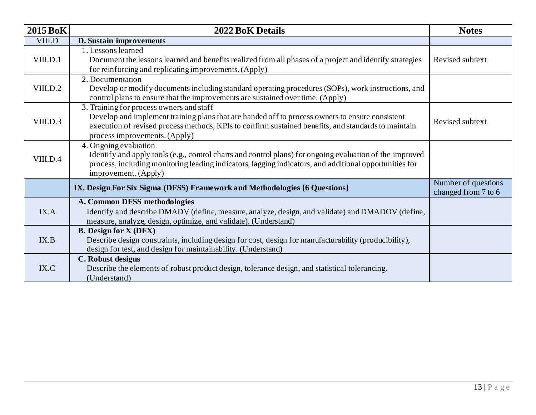| <b>2015 BoK</b> | <b>2022 BoK Details</b>                                                                                                                                                                                                                                                             | <b>Notes</b>                               |
|-----------------|-------------------------------------------------------------------------------------------------------------------------------------------------------------------------------------------------------------------------------------------------------------------------------------|--------------------------------------------|
| VIII.D          | D. Sustain improvements                                                                                                                                                                                                                                                             |                                            |
| VIII.D.1        | 1. Lessons learned<br>Document the lessons learned and benefits realized from all phases of a project and identify strategies<br>for reinforcing and replicating improvements. (Apply)                                                                                              | Revised subtext                            |
| VIII.D.2        | 2. Documentation<br>Develop or modify documents including standard operating procedures (SOPs), work instructions, and<br>control plans to ensure that the improvements are sustained over time. (Apply)                                                                            |                                            |
| VIII.D.3        | 3. Training for process owners and staff<br>Develop and implement training plans that are handed off to process owners to ensure consistent<br>execution of revised process methods, KPIs to confirm sustained benefits, and standards to maintain<br>process improvements. (Apply) | Revised subtext                            |
| VIII.D.4        | 4. Ongoing evaluation<br>Identify and apply tools (e.g., control charts and control plans) for ongoing evaluation of the improved<br>process, including monitoring leading indicators, lagging indicators, and additional opportunities for<br>improvement. (Apply)                 |                                            |
|                 | IX. Design For Six Sigma (DFSS) Framework and Methodologies [6 Questions]                                                                                                                                                                                                           | Number of questions<br>changed from 7 to 6 |
| IX.A            | A. Common DFSS methodologies<br>Identify and describe DMADV (define, measure, analyze, design, and validate) and DMADOV (define,<br>measure, analyze, design, optimize, and validate). (Understand)                                                                                 |                                            |
| IX.B            | <b>B.</b> Design for X (DFX)<br>Describe design constraints, including design for cost, design for manufacturability (producibility),<br>design for test, and design for maintainability. (Understand)                                                                              |                                            |
| IX.C            | C. Robust designs<br>Describe the elements of robust product design, tolerance design, and statistical tolerancing.<br>(Understand)                                                                                                                                                 |                                            |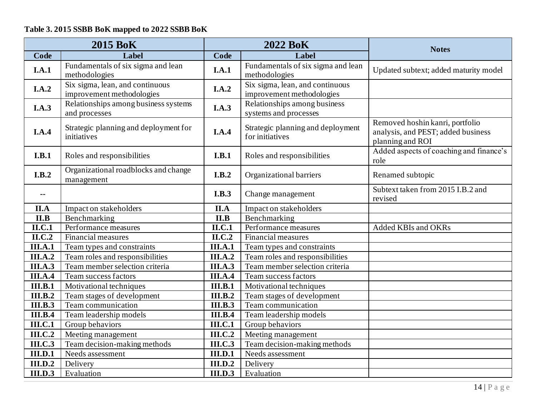## **Table 3. 2015 SSBB BoK mapped to 2022 SSBB BoK**

| <b>2015 BoK</b>             |                                                              | <b>2022 BoK</b>             |                                                              | <b>Notes</b>                                                                              |  |
|-----------------------------|--------------------------------------------------------------|-----------------------------|--------------------------------------------------------------|-------------------------------------------------------------------------------------------|--|
| Code                        | Label                                                        | Code                        | Label                                                        |                                                                                           |  |
| I.A.1                       | Fundamentals of six sigma and lean<br>methodologies          | I.A.1                       | Fundamentals of six sigma and lean<br>methodologies          | Updated subtext; added maturity model                                                     |  |
| I.A.2                       | Six sigma, lean, and continuous<br>improvement methodologies | I.A.2                       | Six sigma, lean, and continuous<br>improvement methodologies |                                                                                           |  |
| I.A.3                       | Relationships among business systems<br>and processes        | I.A.3                       | Relationships among business<br>systems and processes        |                                                                                           |  |
| I.A.4                       | Strategic planning and deployment for<br>initiatives         | I.A.4                       | Strategic planning and deployment<br>for initiatives         | Removed hoshin kanri, portfolio<br>analysis, and PEST; added business<br>planning and ROI |  |
| I.B.1                       | Roles and responsibilities                                   | I.B.1                       | Roles and responsibilities                                   | Added aspects of coaching and finance's<br>role                                           |  |
| I.B.2                       | Organizational roadblocks and change<br>management           | I.B.2                       | Organizational barriers                                      | Renamed subtopic                                                                          |  |
| $\sim$ $\sim$               |                                                              | I.B.3                       | Change management                                            | Subtext taken from 2015 I.B.2 and<br>revised                                              |  |
| II.A                        | Impact on stakeholders                                       | II.A                        | Impact on stakeholders                                       |                                                                                           |  |
| II.B                        | Benchmarking                                                 | II.B                        | Benchmarking                                                 |                                                                                           |  |
| ILC.1                       | Performance measures                                         | ILC.1                       | Performance measures                                         | Added KBIs and OKRs                                                                       |  |
| $\overline{\text{II.C.2}}$  | <b>Financial measures</b>                                    | $\Pi$ .C.2                  | Financial measures                                           |                                                                                           |  |
| <b>III.A.1</b>              | Team types and constraints                                   | <b>III.A.1</b>              | Team types and constraints                                   |                                                                                           |  |
| <b>III.A.2</b>              | Team roles and responsibilities                              | <b>III.A.2</b>              | Team roles and responsibilities                              |                                                                                           |  |
| <b>III.A.3</b>              | Team member selection criteria                               | <b>III.A.3</b>              | Team member selection criteria                               |                                                                                           |  |
| <b>III.A.4</b>              | Team success factors                                         | <b>III.A.4</b>              | Team success factors                                         |                                                                                           |  |
| III.B.1                     | Motivational techniques                                      | <b>III.B.1</b>              | Motivational techniques                                      |                                                                                           |  |
| III.B.2                     | Team stages of development                                   | <b>III.B.2</b>              | Team stages of development                                   |                                                                                           |  |
| $\overline{\text{III.B.3}}$ | Team communication                                           | $\overline{\text{III.B.3}}$ | Team communication                                           |                                                                                           |  |
| III.B.4                     | Team leadership models                                       | <b>III.B.4</b>              | Team leadership models                                       |                                                                                           |  |
| $\overline{III.C.1}$        | Group behaviors                                              | $\overline{\text{III.C.1}}$ | Group behaviors                                              |                                                                                           |  |
| <b>III.C.2</b>              | Meeting management                                           | <b>III.C.2</b>              | Meeting management                                           |                                                                                           |  |
| <b>III.C.3</b>              | Team decision-making methods                                 | <b>III.C.3</b>              | Team decision-making methods                                 |                                                                                           |  |
| <b>III.D.1</b>              | Needs assessment                                             | <b>III.D.1</b>              | Needs assessment                                             |                                                                                           |  |
| III.D.2                     | Delivery                                                     | III.D.2                     | Delivery                                                     |                                                                                           |  |
| <b>III.D.3</b>              | Evaluation                                                   | <b>III.D.3</b>              | Evaluation                                                   |                                                                                           |  |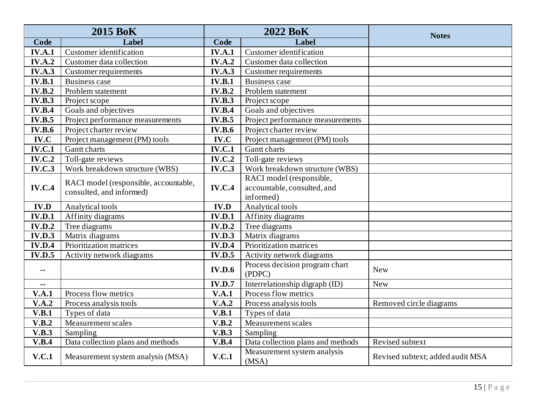| <b>2015 BoK</b> |                                                                   | <b>2022 BoK</b> |                                          | <b>Notes</b>                     |  |
|-----------------|-------------------------------------------------------------------|-----------------|------------------------------------------|----------------------------------|--|
| Code            | Label                                                             | Code            | Label                                    |                                  |  |
| <b>IV.A.1</b>   | <b>Customer</b> identification                                    | <b>IV.A.1</b>   | <b>Customer</b> identification           |                                  |  |
| <b>IV.A.2</b>   | Customer data collection                                          | <b>IV.A.2</b>   | Customer data collection                 |                                  |  |
| <b>IV.A.3</b>   | Customer requirements                                             | IV.A.3          | Customer requirements                    |                                  |  |
| <b>IV.B.1</b>   | <b>Business case</b>                                              | <b>IV.B.1</b>   | <b>Business case</b>                     |                                  |  |
| <b>IV.B.2</b>   | Problem statement                                                 | <b>IV.B.2</b>   | Problem statement                        |                                  |  |
| IV.B.3          | Project scope                                                     | <b>IV.B.3</b>   | Project scope                            |                                  |  |
| IV.B.4          | Goals and objectives                                              | IV.B.4          | Goals and objectives                     |                                  |  |
| <b>IV.B.5</b>   | Project performance measurements                                  | <b>IV.B.5</b>   | Project performance measurements         |                                  |  |
| <b>IV.B.6</b>   | Project charter review                                            | <b>IV.B.6</b>   | Project charter review                   |                                  |  |
| IV.C            | Project management (PM) tools                                     | IV.C            | Project management (PM) tools            |                                  |  |
| <b>IV.C.1</b>   | Gantt charts                                                      | <b>IV.C.1</b>   | Gantt charts                             |                                  |  |
| <b>IV.C.2</b>   | Toll-gate reviews                                                 | <b>IV.C.2</b>   | Toll-gate reviews                        |                                  |  |
| <b>IV.C.3</b>   | Work breakdown structure (WBS)                                    | <b>IV.C.3</b>   | Work breakdown structure (WBS)           |                                  |  |
|                 | RACI model (responsible, accountable,<br>consulted, and informed) | <b>IV.C.4</b>   | RACI model (responsible,                 |                                  |  |
| <b>IV.C.4</b>   |                                                                   |                 | accountable, consulted, and              |                                  |  |
|                 |                                                                   |                 | informed)                                |                                  |  |
| IV.D            | Analytical tools                                                  | <b>IV.D</b>     | Analytical tools                         |                                  |  |
| <b>IV.D.1</b>   | Affinity diagrams                                                 | <b>IV.D.1</b>   | Affinity diagrams                        |                                  |  |
| IV.D.2          | Tree diagrams                                                     | <b>IV.D.2</b>   | Tree diagrams                            |                                  |  |
| <b>IV.D.3</b>   | Matrix diagrams                                                   | <b>IV.D.3</b>   | Matrix diagrams                          |                                  |  |
| IV.D.4          | Prioritization matrices                                           | <b>IV.D.4</b>   | Prioritization matrices                  |                                  |  |
| <b>IV.D.5</b>   | Activity network diagrams                                         | <b>IV.D.5</b>   | Activity network diagrams                |                                  |  |
| --              |                                                                   | <b>IV.D.6</b>   | Process decision program chart<br>(PDPC) | <b>New</b>                       |  |
| --              |                                                                   | <b>IV.D.7</b>   | Interrelationship digraph (ID)           | <b>New</b>                       |  |
| V.A.1           | Process flow metrics                                              | V.A.1           | Process flow metrics                     |                                  |  |
| V.A.2           | Process analysis tools                                            | V.A.2           | Process analysis tools                   | Removed circle diagrams          |  |
| V.B.1           | Types of data                                                     | V.B.1           | Types of data                            |                                  |  |
| V.B.2           | <b>Measurement scales</b>                                         | V.B.2           | <b>Measurement scales</b>                |                                  |  |
| V.B.3           | Sampling                                                          | V.B.3           | Sampling                                 |                                  |  |
| V.B.4           | Data collection plans and methods                                 | V.B.4           | Data collection plans and methods        | Revised subtext                  |  |
| V.C.1           | Measurement system analysis (MSA)                                 | V.C.1           | Measurement system analysis<br>(MSA)     | Revised subtext; added audit MSA |  |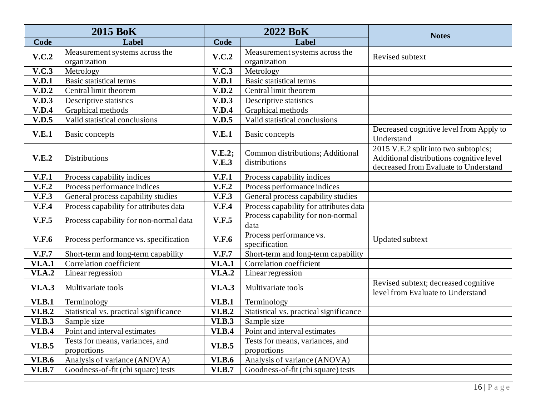| <b>2015 BoK</b> |                                                | <b>2022 BoK</b>            |                                                   | <b>Notes</b>                                                                                                              |
|-----------------|------------------------------------------------|----------------------------|---------------------------------------------------|---------------------------------------------------------------------------------------------------------------------------|
| Code            | Label                                          | Code                       | Label                                             |                                                                                                                           |
| V.C.2           | Measurement systems across the<br>organization | V.C.2                      | Measurement systems across the<br>organization    | Revised subtext                                                                                                           |
| V.C.3           | Metrology                                      | <b>V.C.3</b>               | Metrology                                         |                                                                                                                           |
| V.D.1           | <b>Basic statistical terms</b>                 | V.D.1                      | <b>Basic statistical terms</b>                    |                                                                                                                           |
| V.D.2           | Central limit theorem                          | V.D.2                      | Central limit theorem                             |                                                                                                                           |
| V.D.3           | Descriptive statistics                         | V.D.3                      | Descriptive statistics                            |                                                                                                                           |
| V.D.4           | Graphical methods                              | V.D.4                      | Graphical methods                                 |                                                                                                                           |
| V.D.5           | Valid statistical conclusions                  | V.D.5                      | Valid statistical conclusions                     |                                                                                                                           |
| V.E.1           | Basic concepts                                 | V.E.1                      | <b>Basic concepts</b>                             | Decreased cognitive level from Apply to<br>Understand                                                                     |
| V.E.2           | <b>Distributions</b>                           | V.E.2<br>V.E.3             | Common distributions; Additional<br>distributions | 2015 V.E.2 split into two subtopics;<br>Additional distributions cognitive level<br>decreased from Evaluate to Understand |
| V.F.1           | Process capability indices                     | V.F.1                      | Process capability indices                        |                                                                                                                           |
| V.F.2           | Process performance indices                    | V.F.2                      | Process performance indices                       |                                                                                                                           |
| V.F.3           | General process capability studies             | V.F.3                      | General process capability studies                |                                                                                                                           |
| V.F.4           | Process capability for attributes data         | V.F.4                      | Process capability for attributes data            |                                                                                                                           |
| V.F.5           | Process capability for non-normal data         | V.F.5                      | Process capability for non-normal<br>data         |                                                                                                                           |
| <b>V.F.6</b>    | Process performance vs. specification          | V.F.6                      | Process performance vs.<br>specification          | <b>Updated subtext</b>                                                                                                    |
| V.F.7           | Short-term and long-term capability            | V.F.7                      | Short-term and long-term capability               |                                                                                                                           |
| <b>VI.A.1</b>   | Correlation coefficient                        | <b>VI.A.1</b>              | Correlation coefficient                           |                                                                                                                           |
| <b>VI.A.2</b>   | Linear regression                              | $\overline{\text{VI.A.2}}$ | Linear regression                                 |                                                                                                                           |
| <b>VI.A.3</b>   | Multivariate tools                             | <b>VI.A.3</b>              | Multivariate tools                                | Revised subtext; decreased cognitive<br>level from Evaluate to Understand                                                 |
| VI.B.1          | Terminology                                    | VI.B.1                     | Terminology                                       |                                                                                                                           |
| <b>VI.B.2</b>   | Statistical vs. practical significance         | <b>VI.B.2</b>              | Statistical vs. practical significance            |                                                                                                                           |
| VI.B.3          | Sample size                                    | <b>VI.B.3</b>              | Sample size                                       |                                                                                                                           |
| <b>VI.B.4</b>   | Point and interval estimates                   | <b>VI.B.4</b>              | Point and interval estimates                      |                                                                                                                           |
| <b>VI.B.5</b>   | Tests for means, variances, and<br>proportions | <b>VI.B.5</b>              | Tests for means, variances, and<br>proportions    |                                                                                                                           |
| <b>VI.B.6</b>   | Analysis of variance (ANOVA)                   | <b>VI.B.6</b>              | Analysis of variance (ANOVA)                      |                                                                                                                           |
| <b>VI.B.7</b>   | Goodness-of-fit (chi square) tests             | <b>VI.B.7</b>              | Goodness-of-fit (chi square) tests                |                                                                                                                           |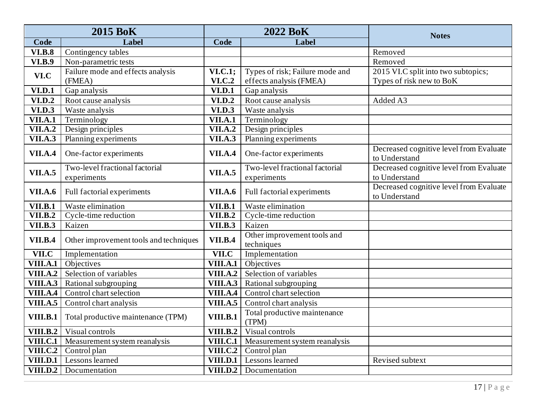| <b>2015 BoK</b> |                                             | <b>2022 BoK</b>                 |                                                            | <b>Notes</b>                                                    |
|-----------------|---------------------------------------------|---------------------------------|------------------------------------------------------------|-----------------------------------------------------------------|
| Code            | Label                                       | Code                            | Label                                                      |                                                                 |
| <b>VI.B.8</b>   | Contingency tables                          |                                 |                                                            | Removed                                                         |
| <b>VI.B.9</b>   | Non-parametric tests                        |                                 |                                                            | Removed                                                         |
| VI.C            | Failure mode and effects analysis<br>(FMEA) | <b>VI.C.1;</b><br><b>VI.C.2</b> | Types of risk; Failure mode and<br>effects analysis (FMEA) | 2015 VI.C split into two subtopics;<br>Types of risk new to BoK |
| <b>VI.D.1</b>   | Gap analysis                                | <b>VI.D.1</b>                   | Gap analysis                                               |                                                                 |
| <b>VI.D.2</b>   | Root cause analysis                         | <b>VI.D.2</b>                   | Root cause analysis                                        | Added A3                                                        |
| <b>VI.D.3</b>   | Waste analysis                              | <b>VI.D.3</b>                   | Waste analysis                                             |                                                                 |
| <b>VII.A.1</b>  | Terminology                                 | <b>VII.A.1</b>                  | Terminology                                                |                                                                 |
| VII.A.2         | Design principles                           | <b>VII.A.2</b>                  | Design principles                                          |                                                                 |
| <b>VII.A.3</b>  | Planning experiments                        | <b>VII.A.3</b>                  | Planning experiments                                       |                                                                 |
| <b>VII.A.4</b>  | One-factor experiments                      | <b>VII.A.4</b>                  | One-factor experiments                                     | Decreased cognitive level from Evaluate<br>to Understand        |
| <b>VII.A.5</b>  | Two-level fractional factorial              | <b>VII.A.5</b>                  | Two-level fractional factorial                             | Decreased cognitive level from Evaluate                         |
|                 | experiments                                 |                                 | experiments                                                | to Understand                                                   |
| <b>VII.A.6</b>  | Full factorial experiments                  | <b>VII.A.6</b>                  | Full factorial experiments                                 | Decreased cognitive level from Evaluate<br>to Understand        |
| <b>VII.B.1</b>  | Waste elimination                           | <b>VII.B.1</b>                  | Waste elimination                                          |                                                                 |
| VII.B.2         | Cycle-time reduction                        | VII.B.2                         | Cycle-time reduction                                       |                                                                 |
| VII.B.3         | Kaizen                                      | VII.B.3                         | Kaizen                                                     |                                                                 |
| <b>VII.B.4</b>  | Other improvement tools and techniques      | <b>VII.B.4</b>                  | Other improvement tools and<br>techniques                  |                                                                 |
| VII.C           | Implementation                              | VII.C                           | Implementation                                             |                                                                 |
| VIII.A.1        | Objectives                                  | VIII.A.1                        | Objectives                                                 |                                                                 |
| <b>VIII.A.2</b> | Selection of variables                      | VIII.A.2                        | Selection of variables                                     |                                                                 |
| VIII.A.3        | Rational subgrouping                        | VIII.A.3                        | Rational subgrouping                                       |                                                                 |
| VIII.A.4        | Control chart selection                     | VIII.A.4                        | Control chart selection                                    |                                                                 |
| <b>VIII.A.5</b> | Control chart analysis                      | VIII.A.5                        | Control chart analysis                                     |                                                                 |
| <b>VIII.B.1</b> | Total productive maintenance (TPM)          | <b>VIII.B.1</b>                 | Total productive maintenance<br>(TPM)                      |                                                                 |
| <b>VIII.B.2</b> | Visual controls                             | <b>VIII.B.2</b>                 | Visual controls                                            |                                                                 |
| <b>VIII.C.1</b> | Measurement system reanalysis               | VIII.C.1                        | Measurement system reanalysis                              |                                                                 |
| <b>VIII.C.2</b> | Control plan                                | <b>VIII.C.2</b>                 | Control plan                                               |                                                                 |
| <b>VIII.D.1</b> | Lessons learned                             | <b>VIII.D.1</b>                 | Lessons learned                                            | Revised subtext                                                 |
| <b>VIII.D.2</b> | Documentation                               |                                 | VIII.D.2   Documentation                                   |                                                                 |